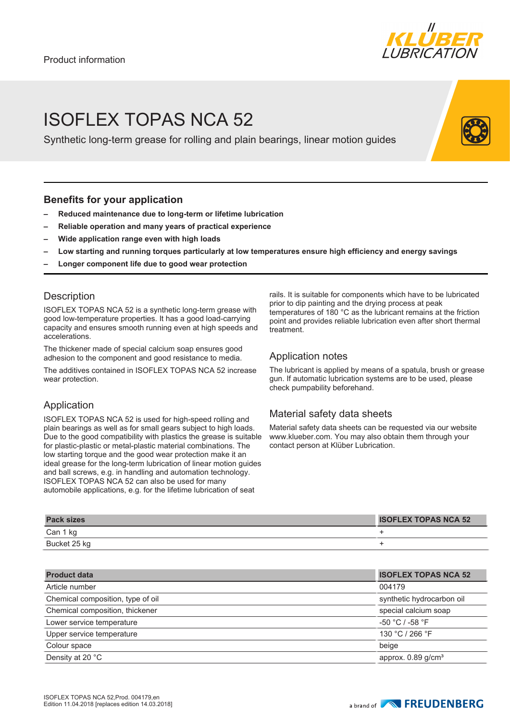

## ISOFLEX TOPAS NCA 52

Synthetic long-term grease for rolling and plain bearings, linear motion guides

## **Benefits for your application**

- **– Reduced maintenance due to long-term or lifetime lubrication**
- **– Reliable operation and many years of practical experience**
- **– Wide application range even with high loads**
- **– Low starting and running torques particularly at low temperatures ensure high efficiency and energy savings**
- **– Longer component life due to good wear protection**

## **Description**

ISOFLEX TOPAS NCA 52 is a synthetic long-term grease with good low-temperature properties. It has a good load-carrying capacity and ensures smooth running even at high speeds and accelerations.

The thickener made of special calcium soap ensures good adhesion to the component and good resistance to media.

The additives contained in ISOFLEX TOPAS NCA 52 increase wear protection.

## Application

ISOFLEX TOPAS NCA 52 is used for high-speed rolling and plain bearings as well as for small gears subject to high loads. Due to the good compatibility with plastics the grease is suitable for plastic-plastic or metal-plastic material combinations. The low starting torque and the good wear protection make it an ideal grease for the long-term lubrication of linear motion guides and ball screws, e.g. in handling and automation technology. ISOFLEX TOPAS NCA 52 can also be used for many automobile applications, e.g. for the lifetime lubrication of seat

rails. It is suitable for components which have to be lubricated prior to dip painting and the drying process at peak temperatures of 180 °C as the lubricant remains at the friction point and provides reliable lubrication even after short thermal treatment.

## Application notes

The lubricant is applied by means of a spatula, brush or grease gun. If automatic lubrication systems are to be used, please check pumpability beforehand.

## Material safety data sheets

Material safety data sheets can be requested via our website www.klueber.com. You may also obtain them through your contact person at Klüber Lubrication.

| <b>Pack sizes</b> | <b>ISOFLEX TOPAS NCA 52</b> |
|-------------------|-----------------------------|
| Can 1 kg          |                             |
| Bucket 25 kg      |                             |

| <b>Product data</b>               | <b>ISOFLEX TOPAS NCA 52</b>      |
|-----------------------------------|----------------------------------|
| Article number                    | 004179                           |
| Chemical composition, type of oil | synthetic hydrocarbon oil        |
| Chemical composition, thickener   | special calcium soap             |
| Lower service temperature         | $-50 °C / -58 °F$                |
| Upper service temperature         | 130 °C / 266 °F                  |
| Colour space                      | beige                            |
| Density at 20 °C                  | approx. $0.89$ g/cm <sup>3</sup> |